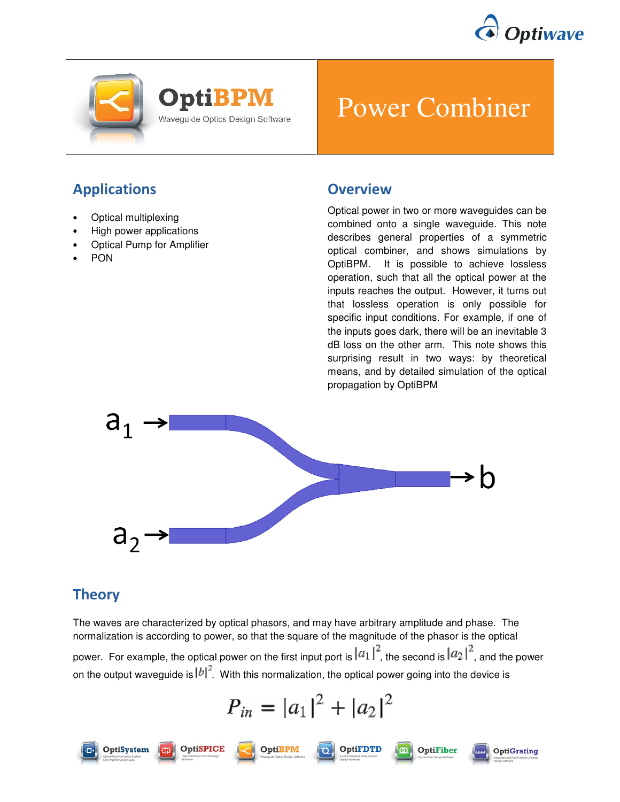





# Power Combiner

## Applications

- Optical multiplexing
- High power applications
- Optical Pump for Amplifier
- PON

#### **Overview**

Optical power in two or more waveguides can be combined onto a single waveguide. This note describes general properties of a symmetric optical combiner, and shows simulations by OptiBPM. It is possible to achieve lossless operation, such that all the optical power at the inputs reaches the output. However, it turns out that lossless operation is only possible for specific input conditions. For example, if one of the inputs goes dark, there will be an inevitable 3 dB loss on the other arm. This note shows this surprising result in two ways: by theoretical means, and by detailed simulation of the optical propagation by OptiBPM



## **Theory**

OptiSystem

**OptiSPICE** 

The waves are characterized by optical phasors, and may have arbitrary amplitude and phase. The normalization is according to power, so that the square of the magnitude of the phasor is the optical power. For example, the optical power on the first input port is  $|a_1|^2$ , the second is  $|a_2|^2$ , and the power on the output waveguide is  $|b|^2$ . With this normalization, the optical power going into the device is

$$
P_{in} = |a_1|^2 + |a_2|^2
$$





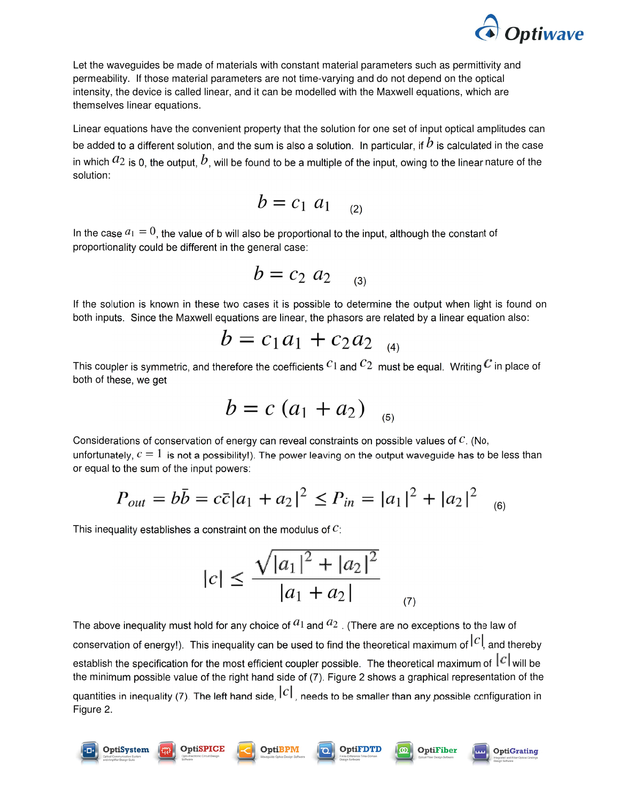

Let the waveguides be made of materials with constant material parameters such as permittivity and permeability. If those material parameters are not time-varying and do not depend on the optical intensity, the device is called linear, and it can be modelled with the Maxwell equations, which are themselves linear equations.

Linear equations have the convenient property that the solution for one set of input optical amplitudes can be added to a different solution, and the sum is also a solution. In particular, if  $b$  is calculated in the case in which  $a_2$  is 0, the output,  $b$ , will be found to be a multiple of the input, owing to the linear nature of the solution:

$$
b = c_1 a_1 \quad (2)
$$

In the case  $a_1 = 0$ , the value of b will also be proportional to the input, although the constant of proportionality could be different in the general case:

$$
b = c_2 \ a_2 \quad \ (3)
$$

If the solution is known in these two cases it is possible to determine the output when light is found on both inputs. Since the Maxwell equations are linear, the phasors are related by a linear equation also:

$$
b = c_1 a_1 + c_2 a_2 \, \big|_{\scriptscriptstyle (4)}
$$

This coupler is symmetric, and therefore the coefficients  $c_1$  and  $c_2$  must be equal. Writing  $\mathcal C$  in place of both of these, we get

$$
b = c (a_1 + a_2)_{(5)}
$$

Considerations of conservation of energy can reveal constraints on possible values of  $C$ . (No, unfortunately,  $c = 1$  is not a possibility!). The power leaving on the output waveguide has to be less than or equal to the sum of the input powers:

$$
P_{out} = b\bar{b} = c\bar{c}|a_1 + a_2|^2 \le P_{in} = |a_1|^2 + |a_2|^2 \quad (6)
$$

This inequality establishes a constraint on the modulus of  $C$ :

**OptiSPICE** 

**OptiSystem** 

$$
|c| \le \frac{\sqrt{|a_1|^2 + |a_2|^2}}{|a_1 + a_2|} \quad (7)
$$

The above inequality must hold for any choice of  $a_1$  and  $a_2$ . (There are no exceptions to the law of conservation of energy!). This inequality can be used to find the theoretical maximum of  $|c|$ , and thereby establish the specification for the most efficient coupler possible. The theoretical maximum of  $|c|$  will be the minimum possible value of the right hand side of (7). Figure 2 shows a graphical representation of the quantities in inequality (7). The left hand side,  $|c|$ , needs to be smaller than any possible configuration in Figure 2.

**OptiFDTI** 

OptiFiber

**OptiGrating** 

ത

OptiBPM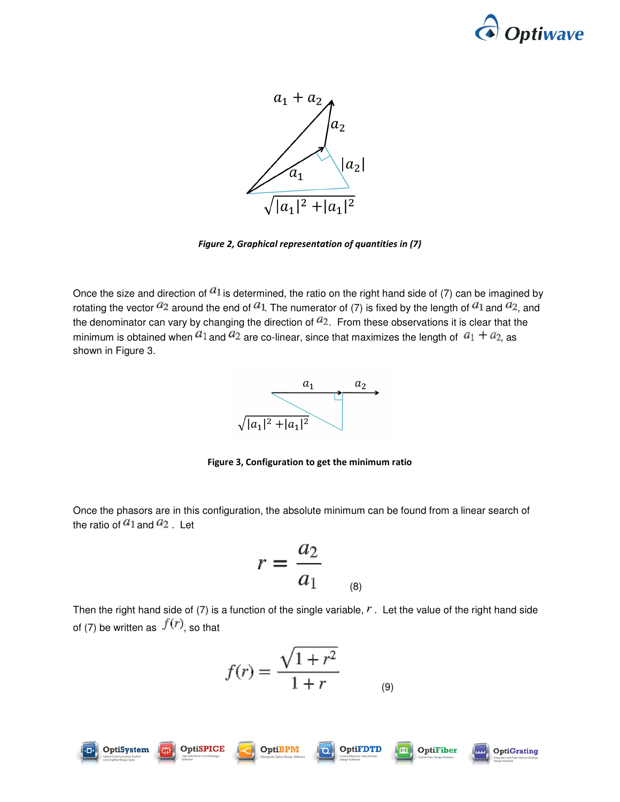



Figure 2, Graphical representation of quantities in (7)

Once the size and direction of  $a_1$  is determined, the ratio on the right hand side of (7) can be imagined by rotating the vector  $a_2$  around the end of  $a_1$ . The numerator of (7) is fixed by the length of  $a_1$  and  $a_2$ , and the denominator can vary by changing the direction of  $a_2$ . From these observations it is clear that the minimum is obtained when  $a_1$  and  $a_2$  are co-linear, since that maximizes the length of  $a_1 + a_2$  as shown in Figure 3.



Figure 3, Configuration to get the minimum ratio

Once the phasors are in this configuration, the absolute minimum can be found from a linear search of the ratio of  $a_1$  and  $a_2$ . Let

$$
r = \frac{a_2}{a_1} \qquad \qquad
$$

Then the right hand side of (7) is a function of the single variable,  $r$ . Let the value of the right hand side of (7) be written as  $f(r)$ , so that

$$
f(r) = \frac{\sqrt{1 + r^2}}{1 + r}
$$
 (9)

 $\overline{O}$ 





OptiSPICE



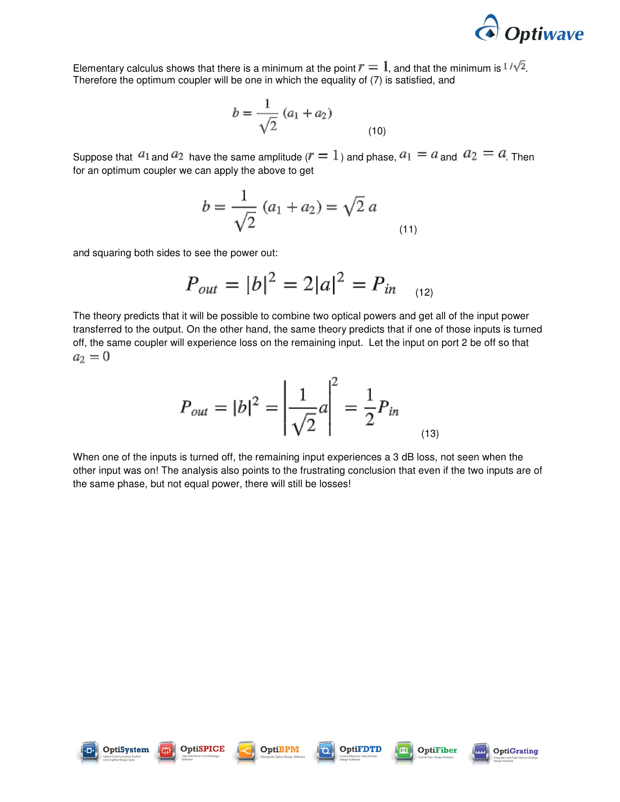

Elementary calculus shows that there is a minimum at the point  $r = 1$ , and that the minimum is  $1/\sqrt{2}$ . Therefore the optimum coupler will be one in which the equality of (7) is satisfied, and

$$
b = \frac{1}{\sqrt{2}} (a_1 + a_2)
$$
 (10)

Suppose that  $a_1$  and  $a_2$  have the same amplitude ( $r = 1$ ) and phase,  $a_1 = a$  and  $a_2 = a$ . Then for an optimum coupler we can apply the above to get

$$
b = \frac{1}{\sqrt{2}} (a_1 + a_2) = \sqrt{2} a
$$
\n(11)

and squaring both sides to see the power out:

$$
P_{out} = |b|^2 = 2|a|^2 = P_{in} \quad (12)
$$

The theory predicts that it will be possible to combine two optical powers and get all of the input power transferred to the output. On the other hand, the same theory predicts that if one of those inputs is turned off, the same coupler will experience loss on the remaining input. Let the input on port 2 be off so that  $a_2 = 0$ 

$$
P_{out} = |b|^2 = \left| \frac{1}{\sqrt{2}} a \right|^2 = \frac{1}{2} P_{in}
$$
 (13)

When one of the inputs is turned off, the remaining input experiences a 3 dB loss, not seen when the other input was on! The analysis also points to the frustrating conclusion that even if the two inputs are of the same phase, but not equal power, there will still be losses!







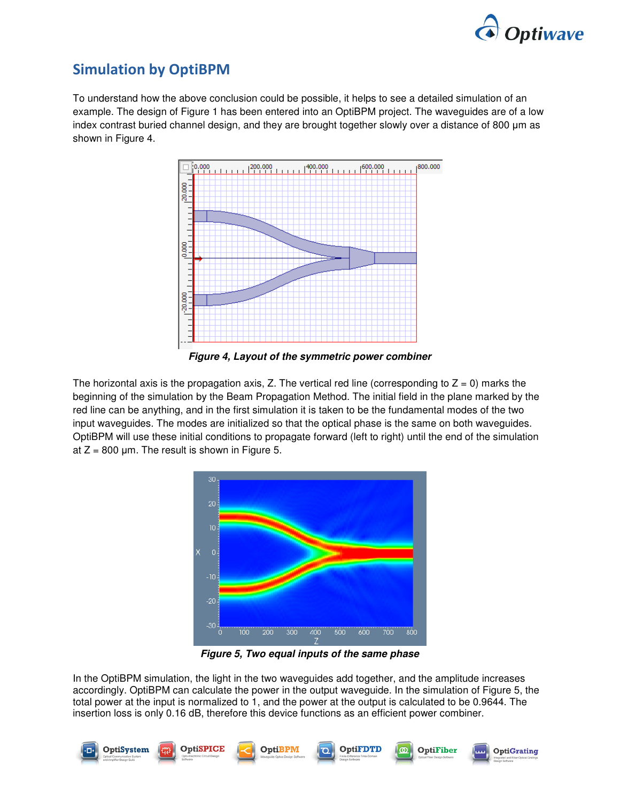

## Simulation by OptiBPM

To understand how the above conclusion could be possible, it helps to see a detailed simulation of an example. The design of Figure 1 has been entered into an OptiBPM project. The waveguides are of a low index contrast buried channel design, and they are brought together slowly over a distance of 800 µm as shown in Figure 4.



**Figure 4, Layout of the symmetric power combiner** 

The horizontal axis is the propagation axis, Z. The vertical red line (corresponding to  $Z = 0$ ) marks the beginning of the simulation by the Beam Propagation Method. The initial field in the plane marked by the red line can be anything, and in the first simulation it is taken to be the fundamental modes of the two input waveguides. The modes are initialized so that the optical phase is the same on both waveguides. OptiBPM will use these initial conditions to propagate forward (left to right) until the end of the simulation at  $Z = 800$  µm. The result is shown in Figure 5.



**Figure 5, Two equal inputs of the same phase**

In the OptiBPM simulation, the light in the two waveguides add together, and the amplitude increases accordingly. OptiBPM can calculate the power in the output waveguide. In the simulation of Figure 5, the total power at the input is normalized to 1, and the power at the output is calculated to be 0.9644. The insertion loss is only 0.16 dB, therefore this device functions as an efficient power combiner.